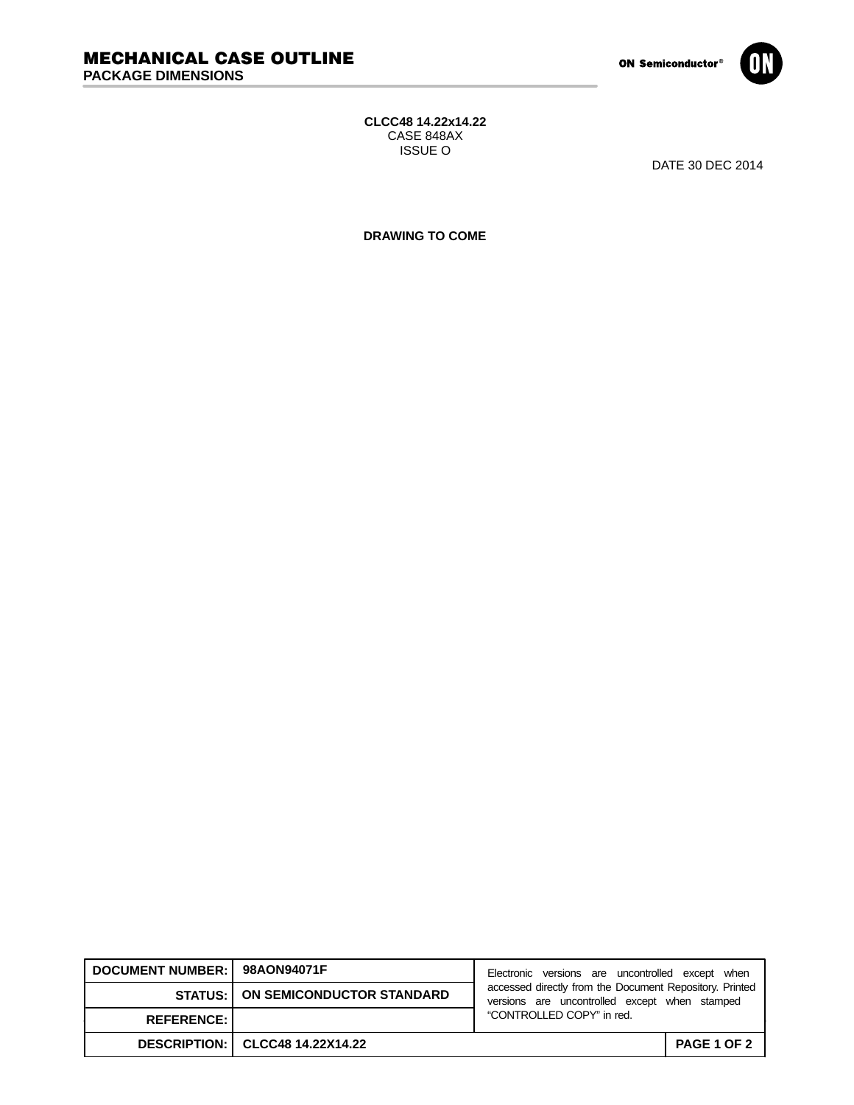

## **CLCC48 14.22x14.22** CASE 848AX ISSUE O

DATE 30 DEC 2014

**DRAWING TO COME**

| DOCUMENT NUMBER: 98AON94071F |                                            | Electronic versions are uncontrolled except when                                                         |                    |
|------------------------------|--------------------------------------------|----------------------------------------------------------------------------------------------------------|--------------------|
|                              | <b>STATUS:   ON SEMICONDUCTOR STANDARD</b> | accessed directly from the Document Repository. Printed<br>versions are uncontrolled except when stamped |                    |
| <b>REFERENCE:</b>            |                                            | "CONTROLLED COPY" in red.                                                                                |                    |
|                              | DESCRIPTION:   CLCC48 14.22X14.22          |                                                                                                          | <b>PAGE 1 OF 2</b> |